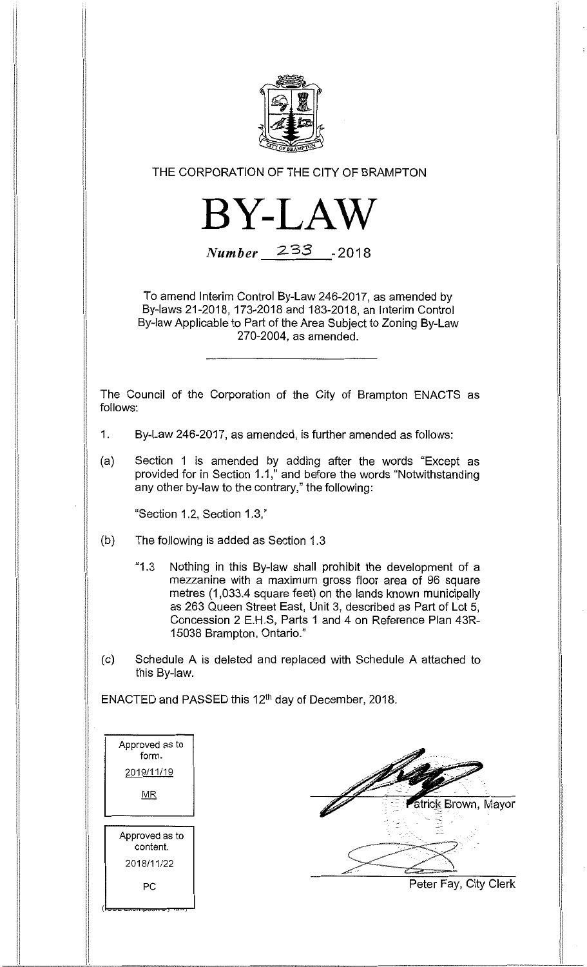

THE CORPORATION OF THE CITY OF BRAMPTON



Number 233 -2018

To amend Interim Control By-Law 246-2017, as amended by By-laws 21-2018, 173-2018 and 183-2018, an Interim Control By-law Applicable to Part of the Area Subject to Zoning By-Law 270-2004, as amended.

The Council of the Corporation of the City of Brampton ENACTS as follows:

- 1. By-Law 246-2017, as amended, is further amended as follows:
- (a) Section 1 is amended by adding after the words "Except as provided for in Section 1.1," and before the words "Notwithstanding any other by-law to the contrary," the following:

"Section 1.2, Section 1.3,"

- (b) The following is added as Section 1.3
	- "1,3 Nothing in this By-law shall prohibit the development of a mezzanine with a maximum gross floor area of 96 square metres (1,033.4 square feet) on the lands known municipally as 263 Queen Street East, Unit 3, described as Part of Lot 5, Concession 2 E.H.S, Parts 1 and 4 on Reference Plan 43R-15038 Brampton, Ontario."
- (c) Schedule A is deleted and replaced with Schedule A attached to this By-law.

ENACTED and PASSED this 12th day of December, 2018.

| Approved as to<br>form. |  |
|-------------------------|--|
| 2019/11/19              |  |
| ΜR                      |  |
|                         |  |
| Approved as to          |  |
| content.                |  |
| 2018/11/22              |  |
| РC                      |  |
|                         |  |

atrick Brown, Mayor Peter Fay, City Clerk